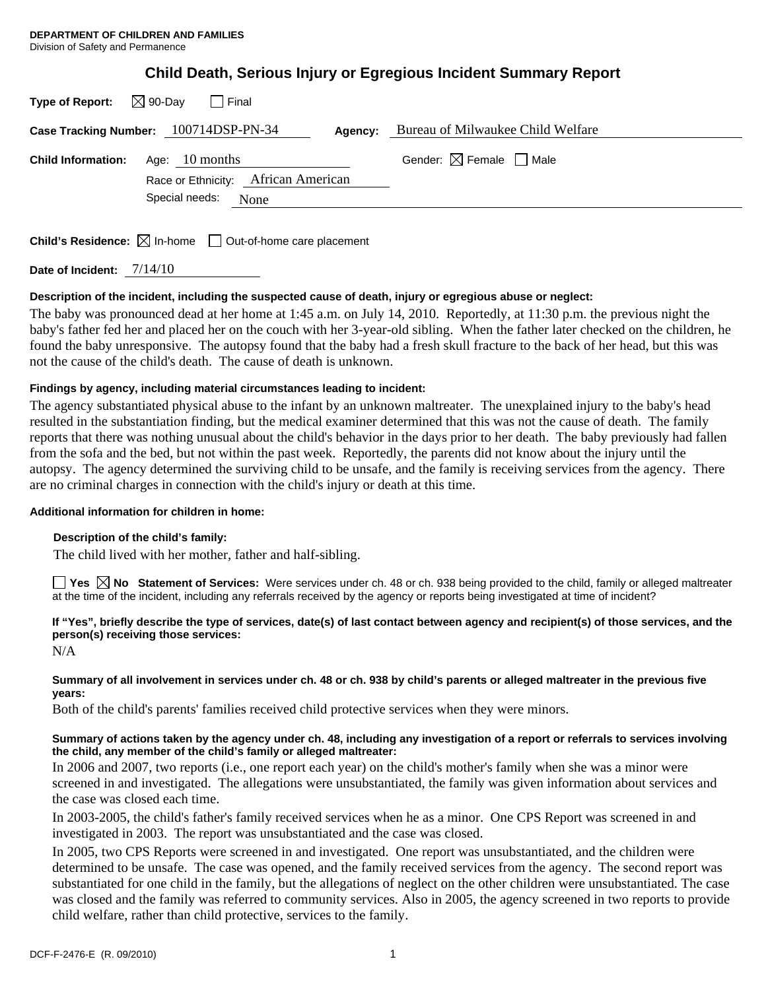|  | Child Death, Serious Injury or Egregious Incident Summary Report |  |
|--|------------------------------------------------------------------|--|
|  |                                                                  |  |

| Type of Report: $\boxtimes$ 90-Day<br>I Final                                                               |                                                  |
|-------------------------------------------------------------------------------------------------------------|--------------------------------------------------|
| Case Tracking Number: 100714DSP-PN-34                                                                       | <b>Agency:</b> Bureau of Milwaukee Child Welfare |
| Age: $10$ months<br><b>Child Information:</b><br>Race or Ethnicity: African American<br>Special needs: None | Gender: $\boxtimes$ Female $\Box$ Male           |

**Child's Residence:**  $\boxtimes$  In-home  $\Box$  Out-of-home care placement

**Date of Incident:** 7/14/10

## **Description of the incident, including the suspected cause of death, injury or egregious abuse or neglect:**

The baby was pronounced dead at her home at 1:45 a.m. on July 14, 2010. Reportedly, at 11:30 p.m. the previous night the baby's father fed her and placed her on the couch with her 3-year-old sibling. When the father later checked on the children, he found the baby unresponsive. The autopsy found that the baby had a fresh skull fracture to the back of her head, but this was not the cause of the child's death. The cause of death is unknown.

## **Findings by agency, including material circumstances leading to incident:**

The agency substantiated physical abuse to the infant by an unknown maltreater. The unexplained injury to the baby's head resulted in the substantiation finding, but the medical examiner determined that this was not the cause of death. The family reports that there was nothing unusual about the child's behavior in the days prior to her death. The baby previously had fallen from the sofa and the bed, but not within the past week. Reportedly, the parents did not know about the injury until the autopsy. The agency determined the surviving child to be unsafe, and the family is receiving services from the agency. There are no criminal charges in connection with the child's injury or death at this time.

## **Additional information for children in home:**

## **Description of the child's family:**

The child lived with her mother, father and half-sibling.

**Yes**  $\boxtimes$  **No** Statement of Services: Were services under ch. 48 or ch. 938 being provided to the child, family or alleged maltreater at the time of the incident, including any referrals received by the agency or reports being investigated at time of incident?

# **If "Yes", briefly describe the type of services, date(s) of last contact between agency and recipient(s) of those services, and the person(s) receiving those services:**

N/A

## **Summary of all involvement in services under ch. 48 or ch. 938 by child's parents or alleged maltreater in the previous five years:**

Both of the child's parents' families received child protective services when they were minors.

# **Summary of actions taken by the agency under ch. 48, including any investigation of a report or referrals to services involving the child, any member of the child's family or alleged maltreater:**

In 2006 and 2007, two reports (i.e., one report each year) on the child's mother's family when she was a minor were screened in and investigated. The allegations were unsubstantiated, the family was given information about services and the case was closed each time.

In 2003-2005, the child's father's family received services when he as a minor. One CPS Report was screened in and investigated in 2003. The report was unsubstantiated and the case was closed.

In 2005, two CPS Reports were screened in and investigated. One report was unsubstantiated, and the children were determined to be unsafe. The case was opened, and the family received services from the agency. The second report was substantiated for one child in the family, but the allegations of neglect on the other children were unsubstantiated. The case was closed and the family was referred to community services. Also in 2005, the agency screened in two reports to provide child welfare, rather than child protective, services to the family.